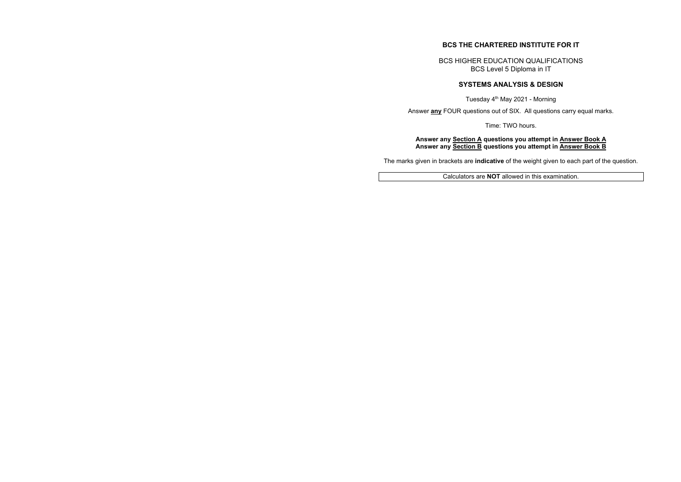# **BCS THE CHARTERED INSTITUTE FOR IT**

BCS HIGHER EDUCATION QUALIFICATIONS BCS Level 5 Diploma in IT

# **SYSTEMS ANALYSIS & DESIGN**

Tuesday 4th May 2021 - Morning

Answer **any** FOUR questions out of SIX. All questions carry equal marks.

Time: TWO hours.

#### **Answer any Section A questions you attempt in Answer Book A Answer any Section B questions you attempt in Answer Book B**

The marks given in brackets are **indicative** of the weight given to each part of the question.

Calculators are **NOT** allowed in this examination.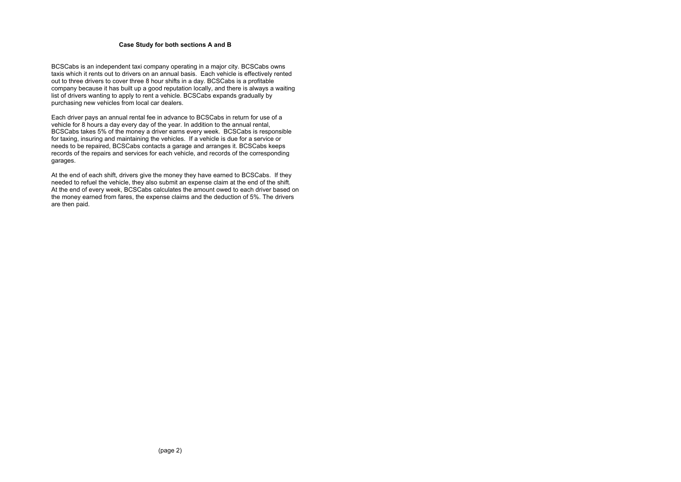#### **Case Study for both sections A and B**

BCSCabs is an independent taxi company operating in a major city. BCSCabs owns taxis which it rents out to drivers on an annual basis. Each vehicle is effectively rented out to three drivers to cover three 8 hour shifts in a day. BCSCabs is a profitable company because it has built up a good reputation locally, and there is always a waiting list of drivers wanting to apply to rent a vehicle. BCSCabs expands gradually by purchasing new vehicles from local car dealers.

Each driver pays an annual rental fee in advance to BCSCabs in return for use of a vehicle for 8 hours a day every day of the year. In addition to the annual rental, BCSCabs takes 5% of the money a driver earns every week. BCSCabs is responsible for taxing, insuring and maintaining the vehicles. If a vehicle is due for a service or needs to be repaired, BCSCabs contacts a garage and arranges it. BCSCabs keeps records of the repairs and services for each vehicle, and records of the corresponding garages.

At the end of each shift, drivers give the money they have earned to BCSCabs. If they needed to refuel the vehicle, they also submit an expense claim at the end of the shift. At the end of every week, BCSCabs calculates the amount owed to each driver based on the money earned from fares, the expense claims and the deduction of 5%. The drivers are then paid.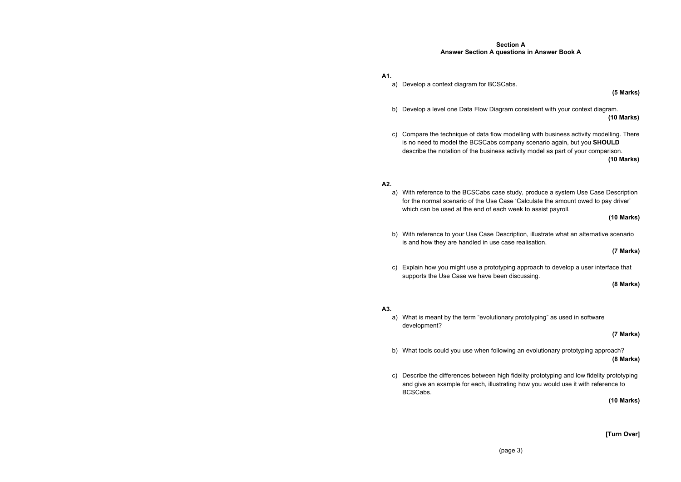# **Section A Answer Section A questions in Answer Book A**

**(5 Marks)** 

**(10 Marks)** 

- **A1.** 
	- a) Develop a context diagram for BCSCabs.
	- b) Develop a level one Data Flow Diagram consistent with your context diagram.
	- is no need to model the BCSCabs company scenario again, but you **SHOULD** describe the notation of the business activity model as part of your comparison.

c) Compare the technique of data flow modelling with business activity modelling. There **(10 Marks)** 

#### **A2.**

a) With reference to the BCSCabs case study, produce a system Use Case Description for the normal scenario of the Use Case 'Calculate the amount owed to pay driver'

**(10 Marks)** 

- which can be used at the end of each week to assist payroll.
- b) With reference to your Use Case Description, illustrate what an alternative scenario is and how they are handled in use case realisation.
- c) Explain how you might use a prototyping approach to develop a user interface that supports the Use Case we have been discussing.

**(7 Marks)** 

**(8 Marks)** 

#### **A3.**

**(7 Marks)** 

- a) What is meant by the term "evolutionary prototyping" as used in software development?
- b) What tools could you use when following an evolutionary prototyping approach?
- and give an example for each, illustrating how you would use it with reference to BCSCabs.

**(8 Marks)** 

c) Describe the differences between high fidelity prototyping and low fidelity prototyping

**(10 Marks)** 

**[Turn Over]**